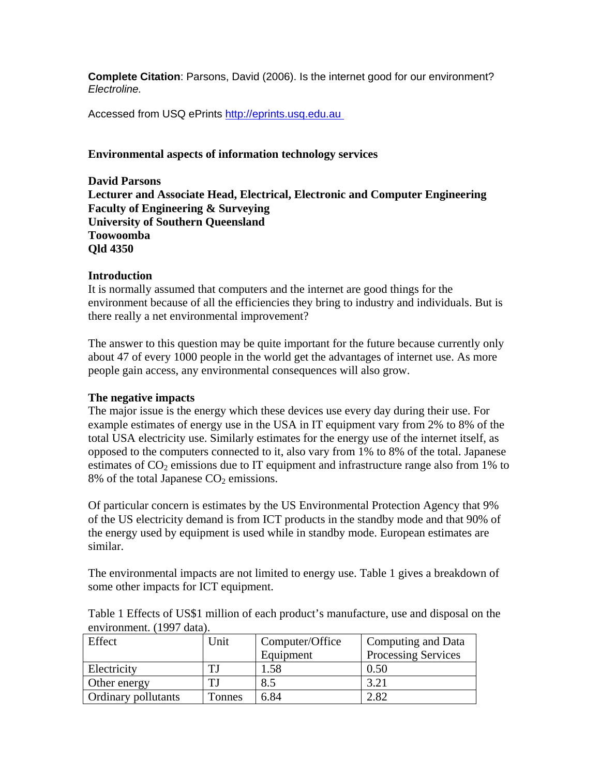**Complete Citation**: Parsons, David (2006). Is the internet good for our environment? *Electroline.*

Accessed from USQ ePrints http://eprints.usq.edu.au

## **Environmental aspects of information technology services**

**David Parsons Lecturer and Associate Head, Electrical, Electronic and Computer Engineering Faculty of Engineering & Surveying University of Southern Queensland Toowoomba Qld 4350** 

### **Introduction**

It is normally assumed that computers and the internet are good things for the environment because of all the efficiencies they bring to industry and individuals. But is there really a net environmental improvement?

The answer to this question may be quite important for the future because currently only about 47 of every 1000 people in the world get the advantages of internet use. As more people gain access, any environmental consequences will also grow.

# **The negative impacts**

The major issue is the energy which these devices use every day during their use. For example estimates of energy use in the USA in IT equipment vary from 2% to 8% of the total USA electricity use. Similarly estimates for the energy use of the internet itself, as opposed to the computers connected to it, also vary from 1% to 8% of the total. Japanese estimates of  $CO<sub>2</sub>$  emissions due to IT equipment and infrastructure range also from 1% to 8% of the total Japanese  $CO<sub>2</sub>$  emissions.

Of particular concern is estimates by the US Environmental Protection Agency that 9% of the US electricity demand is from ICT products in the standby mode and that 90% of the energy used by equipment is used while in standby mode. European estimates are similar.

The environmental impacts are not limited to energy use. Table 1 gives a breakdown of some other impacts for ICT equipment.

| $\mathcal{L}$ . The community of $\mathcal{L}$ and $\mathcal{L}$ |        |                 |                            |  |  |
|------------------------------------------------------------------|--------|-----------------|----------------------------|--|--|
| Effect                                                           | Unit   | Computer/Office | Computing and Data         |  |  |
|                                                                  |        | Equipment       | <b>Processing Services</b> |  |  |
| Electricity                                                      |        | 1.58            | 0.50                       |  |  |
| Other energy                                                     |        | 8.5             | 3.21                       |  |  |
| <b>Ordinary pollutants</b>                                       | Tonnes | 6.84            | 2.82                       |  |  |

Table 1 Effects of US\$1 million of each product's manufacture, use and disposal on the environment. (1997 data).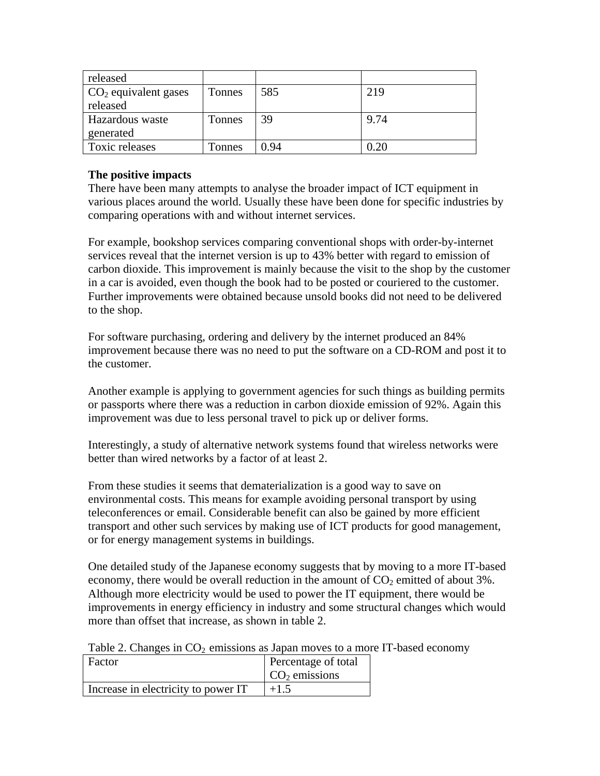| released                           |               |      |          |
|------------------------------------|---------------|------|----------|
| $\overline{CO_2}$ equivalent gases | <b>Tonnes</b> | 585  | 219      |
| released                           |               |      |          |
| Hazardous waste                    | Tonnes        | 39   | 9.74     |
| generated                          |               |      |          |
| Toxic releases                     | Tonnes        | 0.94 | $0.20\,$ |

# **The positive impacts**

There have been many attempts to analyse the broader impact of ICT equipment in various places around the world. Usually these have been done for specific industries by comparing operations with and without internet services.

For example, bookshop services comparing conventional shops with order-by-internet services reveal that the internet version is up to 43% better with regard to emission of carbon dioxide. This improvement is mainly because the visit to the shop by the customer in a car is avoided, even though the book had to be posted or couriered to the customer. Further improvements were obtained because unsold books did not need to be delivered to the shop.

For software purchasing, ordering and delivery by the internet produced an 84% improvement because there was no need to put the software on a CD-ROM and post it to the customer.

Another example is applying to government agencies for such things as building permits or passports where there was a reduction in carbon dioxide emission of 92%. Again this improvement was due to less personal travel to pick up or deliver forms.

Interestingly, a study of alternative network systems found that wireless networks were better than wired networks by a factor of at least 2.

From these studies it seems that dematerialization is a good way to save on environmental costs. This means for example avoiding personal transport by using teleconferences or email. Considerable benefit can also be gained by more efficient transport and other such services by making use of ICT products for good management, or for energy management systems in buildings.

One detailed study of the Japanese economy suggests that by moving to a more IT-based economy, there would be overall reduction in the amount of  $CO<sub>2</sub>$  emitted of about 3%. Although more electricity would be used to power the IT equipment, there would be improvements in energy efficiency in industry and some structural changes which would more than offset that increase, as shown in table 2.

Table 2. Changes in  $CO<sub>2</sub>$  emissions as Japan moves to a more IT-based economy

| Factor                              | Percentage of total         |
|-------------------------------------|-----------------------------|
|                                     | $\overline{CO_2}$ emissions |
| Increase in electricity to power IT | $+1.5$                      |